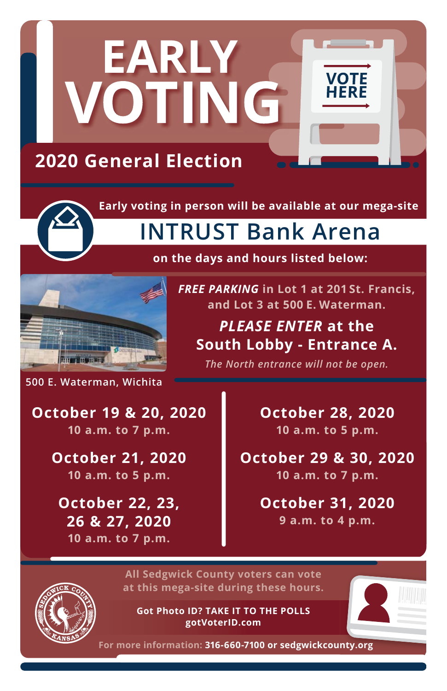

**Early voting in person will be available at our mega-site** 

## **INTRUST Bank Arena**



**on the days and hours listed below:**

*FREE PARKING* **in Lot 1 at 201 St. Francis, and Lot 3 at 500 E. Waterman.**

*PLEASE ENTER* **at the South Lobby - Entrance A.**

*The North entrance will not be open.*

**500 E. Waterman, Wichita**

**October 19 & 20, 2020 10 a.m. to 7 p.m.**

> **October 21, 2020 10 a.m. to 5 p.m.**

**October 22, 23, 26 & 27, 2020 10 a.m. to 7 p.m.**

**October 28, 2020 10 a.m. to 5 p.m.**

**October 29 & 30, 2020 10 a.m. to 7 p.m.**

> **October 31, 2020 9 a.m. to 4 p.m.**



**All Sedgwick County voters can vote at this mega-site during these hours.**

**Got Photo ID? TAKE IT TO THE POLLS gotVoterID.com**



**For more information: 316-660-7100 or sedgwickcounty.org**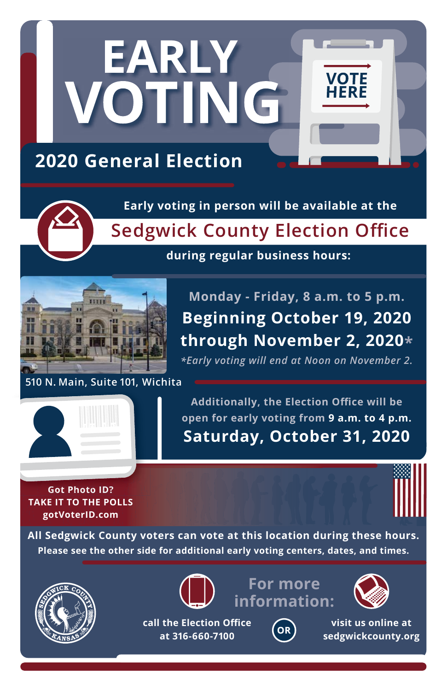

**Early voting in person will be available at the**

**Sedgwick County Election Office**

## **during regular business hours:**



**Monday - Friday, 8 a.m. to 5 p.m. Beginning October 19, 2020 through November 2, 2020\***

*\*Early voting will end at Noon on November 2.*

**510 N. Main, Suite 101, Wichita 510 N. Main, Suite 101, W**



**Additionally, the Election Office will be open for early voting from 9 a.m. to 4 p.m. Saturday, October 31, 2020**

**Got Photo ID? TAKE IT TO THE POLLS gotVoterID.com**



**All Sedgwick County voters can vote at this location during these hours. Please see the other side for additional early voting centers, dates, and times.**



**call the Election Office at 316-660-7100**



**For more**



**visit us online at sedgwickcounty.org**